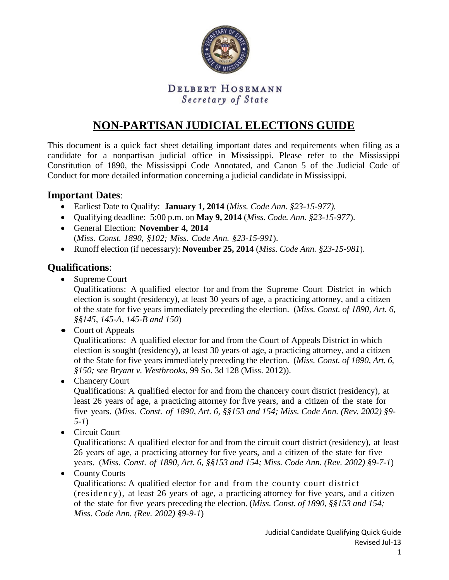

## DELBERT HOSEMANN Secretary of State

# **NON-PARTISAN JUDICIAL ELECTIONS GUIDE**

This document is a quick fact sheet detailing important dates and requirements when filing as a candidate for a nonpartisan judicial office in Mississippi. Please refer to the Mississippi Constitution of 1890, the Mississippi Code Annotated, and Canon 5 of the Judicial Code of Conduct for more detailed information concerning a judicial candidate in Mississippi.

#### **Important Dates**:

- Earliest Date to Qualify: **January 1, 2014** (*Miss. Code Ann. §23-15-977).*
- Qualifying deadline: 5:00 p.m. on **May 9, 2014** (*Miss. Code. Ann. §23-15-977*).
- General Election: **November 4, 2014** (*Miss. Const. 1890, §102; Miss. Code Ann. §23-15-991*).
- Runoff election (if necessary): **November 25, 2014** (*Miss. Code Ann. §23-15-981*).

### **Qualifications**:

• Supreme Court

Qualifications: A qualified elector for and from the Supreme Court District in which election is sought (residency), at least 30 years of age, a practicing attorney, and a citizen of the state for five years immediately preceding the election. (*Miss. Const. of 1890, Art. 6, §§145, 145-A, 145-B and 150*)

• Court of Appeals

Qualifications: A qualified elector for and from the Court of Appeals District in which election is sought (residency), at least 30 years of age, a practicing attorney, and a citizen of the State for five years immediately preceding the election. (*Miss. Const. of 1890, Art. 6, §150; see Bryant v. Westbrooks*, 99 So. 3d 128 (Miss. 2012)).

• Chancery Court

Qualifications: A qualified elector for and from the chancery court district (residency), at least 26 years of age, a practicing attorney for five years, and a citizen of the state for five years. (*Miss. Const. of 1890, Art. 6, §§153 and 154; Miss. Code Ann. (Rev. 2002) §9- 5-1*)

• Circuit Court

Qualifications: A qualified elector for and from the circuit court district (residency), at least 26 years of age, a practicing attorney for five years, and a citizen of the state for five years. (*Miss. Const. of 1890, Art. 6, §§153 and 154; Miss. Code Ann. (Rev. 2002) §9-7-1*)

• County Courts

Qualifications: A qualified elector for and from the county court district (residency), at least 26 years of age, a practicing attorney for five years, and a citizen of the state for five years preceding the election. (*Miss. Const. of 1890, §§153 and 154; Miss. Code Ann. (Rev. 2002) §9-9-1*)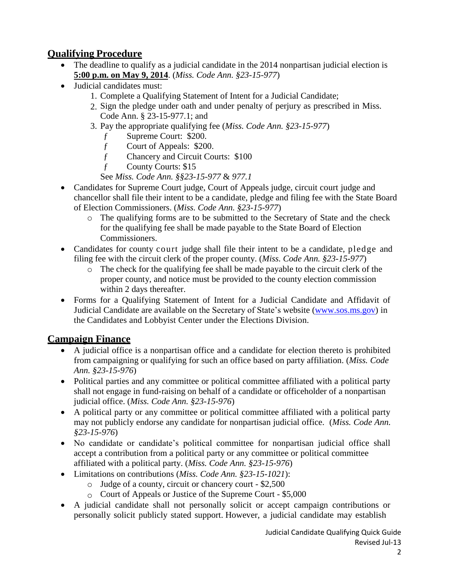# **Qualifying Procedure**

- The deadline to qualify as a judicial candidate in the 2014 nonpartisan judicial election is **5:00 p.m. on May 9, 2014**. (*Miss. Code Ann. §23-15-977*)
- Judicial candidates must:
	- 1. Complete a Qualifying Statement of Intent for a Judicial Candidate;
	- 2. Sign the pledge under oath and under penalty of perjury as prescribed in Miss. Code Ann. § 23-15-977.1; and
	- 3. Pay the appropriate qualifying fee (*Miss. Code Ann. §23-15-977*)
		- f Supreme Court: \$200.
		- f Court of Appeals: \$200.
		- ƒ Chancery and Circuit Courts: \$100
		- ƒ County Courts: \$15
		- See *Miss. Code Ann. §§23-15-977* & *977.1*
- Candidates for Supreme Court judge, Court of Appeals judge, circuit court judge and chancellor shall file their intent to be a candidate, pledge and filing fee with the State Board of Election Commissioners. (*Miss. Code Ann. §23-15-977*)
	- o The qualifying forms are to be submitted to the Secretary of State and the check for the qualifying fee shall be made payable to the State Board of Election Commissioners.
- Candidates for county court judge shall file their intent to be a candidate, pledge and filing fee with the circuit clerk of the proper county. (*Miss. Code Ann. §23-15-977*)
	- o The check for the qualifying fee shall be made payable to the circuit clerk of the proper county, and notice must be provided to the county election commission within 2 days thereafter.
- Forms for a Qualifying Statement of Intent for a Judicial Candidate and Affidavit of Judicial Candidate are available on the Secretary of State's website [\(www.sos.ms.gov\)](http://www.sos.ms.gov/) in the Candidates and Lobbyist Center under the Elections Division.

# **Campaign Finance**

- A judicial office is a nonpartisan office and a candidate for election thereto is prohibited from campaigning or qualifying for such an office based on party affiliation. (*Miss. Code Ann. §23-15-976*)
- Political parties and any committee or political committee affiliated with a political party shall not engage in fund-raising on behalf of a candidate or officeholder of a nonpartisan judicial office. (*Miss. Code Ann. §23-15-976*)
- A political party or any committee or political committee affiliated with a political party may not publicly endorse any candidate for nonpartisan judicial office. (*Miss. Code Ann. §23-15-976*)
- No candidate or candidate's political committee for nonpartisan judicial office shall accept a contribution from a political party or any committee or political committee affiliated with a political party. (*Miss. Code Ann. §23-15-976*)
- Limitations on contributions (*Miss. Code Ann. §23-15-1021*):
	- o Judge of a county, circuit or chancery court \$2,500
	- o Court of Appeals or Justice of the Supreme Court \$5,000
- A judicial candidate shall not personally solicit or accept campaign contributions or personally solicit publicly stated support. However, a judicial candidate may establish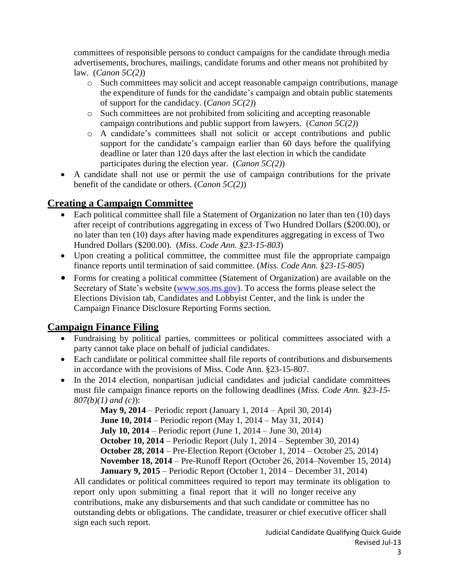committees of responsible persons to conduct campaigns for the candidate through media advertisements, brochures, mailings, candidate forums and other means not prohibited by law. (*Canon 5C(2)*)

- o Such committees may solicit and accept reasonable campaign contributions, manage the expenditure of funds for the candidate's campaign and obtain public statements of support for the candidacy. (*Canon 5C(2)*)
- o Such committees are not prohibited from soliciting and accepting reasonable campaign contributions and public support from lawyers. (*Canon 5C(2)*)
- o A candidate's committees shall not solicit or accept contributions and public support for the candidate's campaign earlier than 60 days before the qualifying deadline or later than 120 days after the last election in which the candidate participates during the election year. (*Canon 5C(2)*)
- A candidate shall not use or permit the use of campaign contributions for the private benefit of the candidate or others. (*Canon 5C(2)*)

## **Creating a Campaign Committee**

- Each political committee shall file a Statement of Organization no later than ten (10) days after receipt of contributions aggregating in excess of Two Hundred Dollars (\$200.00), or no later than ten (10) days after having made expenditures aggregating in excess of Two Hundred Dollars (\$200.00). (*Miss. Code Ann. §23-15-803*)
- Upon creating a political committee, the committee must file the appropriate campaign finance reports until termination of said committee. (*Miss. Code Ann. §23-15-805*)
- Forms for creating a political committee (Statement of Organization) are available on the Secretary of State's website [\(www.sos.ms.gov\)](http://www.sos.ms.gov/). To access the forms please select the Elections Division tab, Candidates and Lobbyist Center, and the link is under the Campaign Finance Disclosure Reporting Forms section.

# **Campaign Finance Filing**

- Fundraising by political parties, committees or political committees associated with a party cannot take place on behalf of judicial candidates.
- Each candidate or political committee shall file reports of contributions and disbursements in accordance with the provisions of Miss. Code Ann. §23-15-807.
- In the 2014 election, nonpartisan judicial candidates and judicial candidate committees must file campaign finance reports on the following deadlines (*Miss. Code Ann. §23-15- 807(b)(1) and (c)*):

**May 9, 2014** – Periodic report (January 1, 2014 – April 30, 2014) **June 10, 2014** – Periodic report (May 1, 2014 – May 31, 2014) **July 10, 2014** – Periodic report (June 1, 2014 – June 30, 2014) **October 10, 2014** – Periodic Report (July 1, 2014 – September 30, 2014) **October 28, 2014** – Pre-Election Report (October 1, 2014 – October 25, 2014) **November 18, 2014** – Pre-Runoff Report (October 26, 2014–November 15, 2014) **January 9, 2015** – Periodic Report (October 1, 2014 – December 31, 2014)

All candidates or political committees required to report may terminate its obligation to report only upon submitting a final report that it will no longer receive any contributions, make any disbursements and that such candidate or committee has no outstanding debts or obligations. The candidate, treasurer or chief executive officer shall sign each such report.